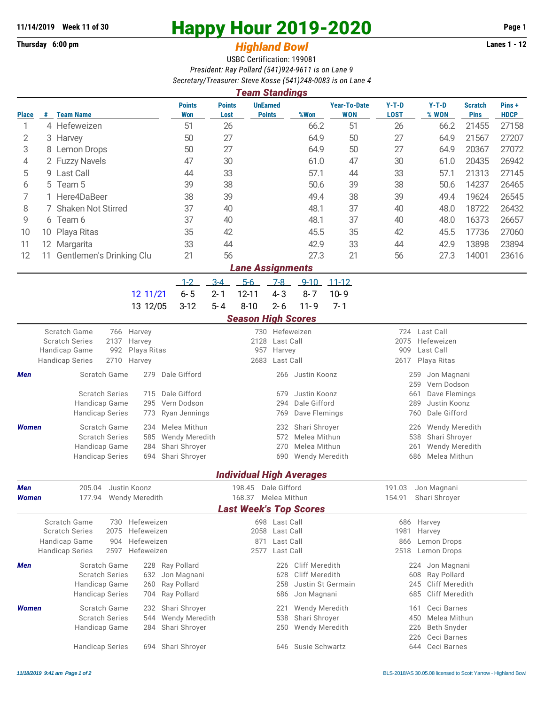## **Thursday 6:00 pm** *Highland Bowl* **Lanes 1 - 12**

## **11/14/2019 Week 11 of 30 Happy Hour 2019-2020 Page 1**

## USBC Certification: 199081 *President: Ray Pollard (541)924-9611 is on Lane 9 Secretary/Treasurer: Steve Kosse (541)248-0083 is on Lane 4*

| <b>Team Standings</b>      |    |                                        |      |                           |                                   |                       |           |                                  |          |                                   |                        |                                       |                               |                      |
|----------------------------|----|----------------------------------------|------|---------------------------|-----------------------------------|-----------------------|-----------|----------------------------------|----------|-----------------------------------|------------------------|---------------------------------------|-------------------------------|----------------------|
| <b>Place</b>               |    | # Team Name                            |      |                           | <b>Points</b><br><b>Won</b>       | <b>Points</b><br>Lost |           | <b>UnEarned</b><br><b>Points</b> | %Won     | <b>Year-To-Date</b><br><b>WON</b> | $Y-T-D$<br><b>LOST</b> | $Y-T-D$<br>% WON                      | <b>Scratch</b><br><b>Pins</b> | Pins+<br><b>HDCP</b> |
|                            |    | 4 Hefeweizen                           |      | 51                        | 26                                |                       |           | 66.2                             | 51       | 26                                | 66.2                   | 21455                                 | 27158                         |                      |
| 2                          |    | 3 Harvey                               |      |                           | 50                                | 27                    |           |                                  | 64.9     | 50                                | 27                     | 64.9                                  | 21567                         | 27207                |
| 3                          |    | 8 Lemon Drops                          |      |                           | 50                                | 27                    |           |                                  | 64.9     | 50                                | 27                     | 64.9                                  | 20367                         | 27072                |
| 4                          |    | 2 Fuzzy Navels                         |      |                           | 47                                | 30                    |           |                                  | 61.0     | 47                                | 30                     | 61.0                                  | 20435                         | 26942                |
| 5                          |    | 9 Last Call                            |      |                           | 44                                | 33                    |           |                                  | 57.1     | 44                                | 33                     | 57.1                                  | 21313                         | 27145                |
| 6                          |    | 5 Team 5                               |      |                           | 39                                | 38                    |           |                                  | 50.6     | 39                                | 38                     | 50.6                                  | 14237                         | 26465                |
|                            |    | 1 Here4DaBeer                          |      |                           | 38                                | 39                    |           |                                  |          | 38                                | 39                     | 49.4                                  | 19624                         | 26545                |
| 8                          |    | 7 Shaken Not Stirred                   |      |                           | 37                                | 40                    |           |                                  | 48.1     | 37                                | 40                     | 48.0                                  | 18722                         | 26432                |
| 9                          |    | 6 Team 6                               |      |                           | 37                                | 40                    |           |                                  | 48.1     | 37                                | 40                     | 48.0                                  | 16373                         | 26657                |
| 10                         |    | 10 Playa Ritas                         |      |                           | 35                                | 42                    |           |                                  | 45.5     | 35                                | 42                     | 45.5                                  | 17736                         | 27060                |
| 11                         |    | 12 Margarita                           |      |                           | 33                                | 44                    |           |                                  | 42.9     | 33                                | 44                     | 42.9                                  | 13898                         | 23894                |
| 12                         | 11 | Gentlemen's Drinking Clu               |      |                           | 21                                | 56                    |           |                                  | 27.3     | 21                                | 56                     | 27.3                                  | 14001                         | 23616                |
|                            |    |                                        |      |                           |                                   |                       |           | <b>Lane Assignments</b>          |          |                                   |                        |                                       |                               |                      |
|                            |    |                                        |      |                           | $1 - 2$                           | $3 - 4$               | $5 - 6$   | 7-8                              | $9 - 10$ | $11 - 12$                         |                        |                                       |                               |                      |
|                            |    |                                        |      | 12 11/21                  | $6 - 5$                           | $2 - 1$               | $12 - 11$ | $4 - 3$                          | $8 - 7$  | $10 - 9$                          |                        |                                       |                               |                      |
|                            |    |                                        |      | 13 12/05                  | $3-12$                            | 5-4                   | $8 - 10$  | $2 - 6$                          | $11 - 9$ | $7 - 1$                           |                        |                                       |                               |                      |
|                            |    |                                        |      |                           |                                   |                       |           | <b>Season High Scores</b>        |          |                                   |                        |                                       |                               |                      |
| Scratch Game<br>766 Harvey |    |                                        |      |                           | Hefeweizen<br>730                 |                       |           |                                  |          |                                   |                        | 724 Last Call                         |                               |                      |
|                            |    | <b>Scratch Series</b><br>Handican Came | 2137 | Harvey<br>002 Dlava Ditac | 2128<br>Last Call<br>$057$ Harvey |                       |           |                                  |          |                                   |                        | Hefeweizen<br>2075<br>$0.00 \pm 0.01$ |                               |                      |

| Scratch Series         |     |                                                                                                                                                                                                    |                                                                                                                                                                                 |     |              |                                                                                                                                                                                    |                |                                                                                                                                |
|------------------------|-----|----------------------------------------------------------------------------------------------------------------------------------------------------------------------------------------------------|---------------------------------------------------------------------------------------------------------------------------------------------------------------------------------|-----|--------------|------------------------------------------------------------------------------------------------------------------------------------------------------------------------------------|----------------|--------------------------------------------------------------------------------------------------------------------------------|
| Handicap Game          |     |                                                                                                                                                                                                    |                                                                                                                                                                                 |     |              | 909                                                                                                                                                                                |                |                                                                                                                                |
| <b>Handicap Series</b> |     |                                                                                                                                                                                                    |                                                                                                                                                                                 |     |              |                                                                                                                                                                                    |                |                                                                                                                                |
|                        | 279 |                                                                                                                                                                                                    |                                                                                                                                                                                 |     |              |                                                                                                                                                                                    | Jon Magnani    |                                                                                                                                |
|                        |     |                                                                                                                                                                                                    |                                                                                                                                                                                 |     |              |                                                                                                                                                                                    | Vern Dodson    |                                                                                                                                |
|                        |     |                                                                                                                                                                                                    |                                                                                                                                                                                 | 679 | Justin Koonz |                                                                                                                                                                                    | Dave Flemings  |                                                                                                                                |
|                        |     |                                                                                                                                                                                                    |                                                                                                                                                                                 | 294 |              |                                                                                                                                                                                    | Justin Koonz   |                                                                                                                                |
|                        |     |                                                                                                                                                                                                    |                                                                                                                                                                                 | 769 |              |                                                                                                                                                                                    | Dale Gifford   |                                                                                                                                |
| <b>Women</b>           |     |                                                                                                                                                                                                    |                                                                                                                                                                                 |     |              |                                                                                                                                                                                    | Wendy Meredith |                                                                                                                                |
|                        |     |                                                                                                                                                                                                    |                                                                                                                                                                                 |     |              |                                                                                                                                                                                    |                |                                                                                                                                |
|                        |     |                                                                                                                                                                                                    |                                                                                                                                                                                 |     |              |                                                                                                                                                                                    | Wendy Meredith |                                                                                                                                |
|                        |     |                                                                                                                                                                                                    |                                                                                                                                                                                 | 690 |              |                                                                                                                                                                                    | Melea Mithun   |                                                                                                                                |
|                        |     | 2137 Harvey<br>2710 Harvey<br>Scratch Game<br><b>Scratch Series</b><br>Handicap Game<br><b>Handicap Series</b><br>Scratch Game<br><b>Scratch Series</b><br>Handicap Game<br><b>Handicap Series</b> | 992 Playa Ritas<br>Dale Gifford<br>715 Dale Gifford<br>295 Vern Dodson<br>773 Ryan Jennings<br>234 Melea Mithun<br>585 Wendy Meredith<br>284 Shari Shroyer<br>694 Shari Shroyer |     |              | 2128 Last Call<br>957 Harvey<br>2683 Last Call<br>266 Justin Koonz<br>Dale Gifford<br>Dave Flemings<br>232 Shari Shroyer<br>572 Melea Mithun<br>270 Melea Mithun<br>Wendy Meredith |                | 2075 Hefeweizen<br>Last Call<br>2617 Playa Ritas<br>259<br>259<br>661<br>289<br>760-<br>226<br>538 Shari Shroyer<br>261<br>686 |

## *Individual High Averages*

| Men                           | 205.04                 | Justin Koonz       |                    | 198.45              | Dale Gifford      |                   | 191.03 | Jon Magnani           |  |  |  |  |
|-------------------------------|------------------------|--------------------|--------------------|---------------------|-------------------|-------------------|--------|-----------------------|--|--|--|--|
| <b>Women</b>                  | 177.94                 | Wendy Meredith     |                    | 168.37 Melea Mithun |                   |                   | 154.91 | Shari Shrover         |  |  |  |  |
| <b>Last Week's Top Scores</b> |                        |                    |                    |                     |                   |                   |        |                       |  |  |  |  |
|                               | Scratch Game           | Hefeweizen<br>730  |                    | 698                 | Last Call         |                   | 686    | Harvey                |  |  |  |  |
|                               | <b>Scratch Series</b>  | Hefeweizen<br>2075 |                    | 2058                |                   | Last Call         | 1981   | Harvey                |  |  |  |  |
|                               | Handicap Game          | Hefeweizen<br>904  |                    | 871                 |                   | Last Call         | 866    | Lemon Drops           |  |  |  |  |
|                               | Handicap Series        | Hefeweizen<br>2597 |                    |                     | 2577<br>Last Call |                   | 2518   | Lemon Drops           |  |  |  |  |
| <b>Men</b>                    | Scratch Game           |                    | 228 Ray Pollard    |                     | 226               | Cliff Meredith    |        | Jon Magnani<br>224    |  |  |  |  |
|                               | <b>Scratch Series</b>  |                    | 632 Jon Magnani    |                     | 628               | Cliff Meredith    |        | Ray Pollard<br>608    |  |  |  |  |
|                               | Handicap Game          |                    | 260 Ray Pollard    |                     | 258               | Justin St Germain |        | Cliff Meredith<br>245 |  |  |  |  |
|                               | <b>Handicap Series</b> |                    | 704 Ray Pollard    |                     | 686               | Jon Magnani       |        | 685 Cliff Meredith    |  |  |  |  |
| <b>Women</b>                  | Scratch Game           |                    | 232 Shari Shroyer  |                     | 221               | Wendy Meredith    |        | Ceci Barnes<br>161    |  |  |  |  |
|                               | <b>Scratch Series</b>  |                    | 544 Wendy Meredith |                     | 538               | Shari Shroyer     |        | Melea Mithun<br>450   |  |  |  |  |
|                               | Handicap Game          | 284                | Shari Shrover      |                     | 250               | Wendy Meredith    |        | 226<br>Beth Snyder    |  |  |  |  |
|                               |                        |                    |                    |                     |                   |                   |        | Ceci Barnes<br>226    |  |  |  |  |
|                               | <b>Handicap Series</b> | 694                | Shari Shroyer      |                     | 646               | Susie Schwartz    |        | Ceci Barnes<br>644    |  |  |  |  |